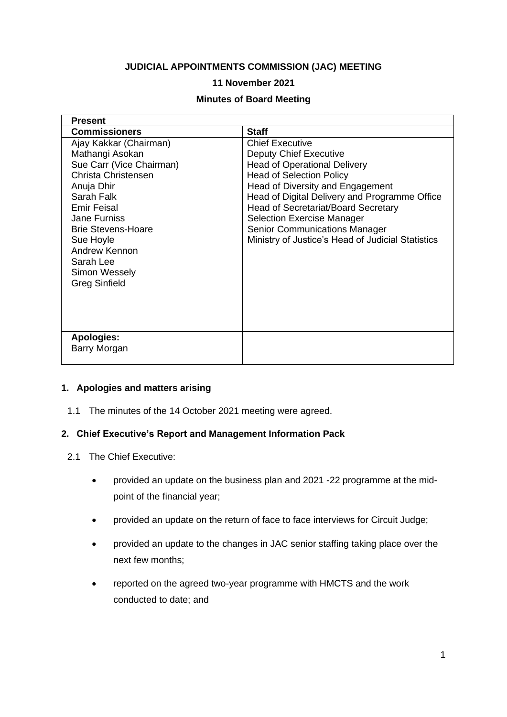# **JUDICIAL APPOINTMENTS COMMISSION (JAC) MEETING**

#### **11 November 2021**

#### **Minutes of Board Meeting**

| <b>Present</b>                                                                                                                                                                                                                                                                         |                                                                                                                                                                                                                                                                                                                                                                                                        |
|----------------------------------------------------------------------------------------------------------------------------------------------------------------------------------------------------------------------------------------------------------------------------------------|--------------------------------------------------------------------------------------------------------------------------------------------------------------------------------------------------------------------------------------------------------------------------------------------------------------------------------------------------------------------------------------------------------|
| <b>Commissioners</b>                                                                                                                                                                                                                                                                   | <b>Staff</b>                                                                                                                                                                                                                                                                                                                                                                                           |
| Ajay Kakkar (Chairman)<br>Mathangi Asokan<br>Sue Carr (Vice Chairman)<br>Christa Christensen<br>Anuja Dhir<br>Sarah Falk<br><b>Emir Feisal</b><br>Jane Furniss<br><b>Brie Stevens-Hoare</b><br>Sue Hoyle<br>Andrew Kennon<br>Sarah Lee<br><b>Simon Wessely</b><br><b>Greg Sinfield</b> | <b>Chief Executive</b><br><b>Deputy Chief Executive</b><br><b>Head of Operational Delivery</b><br><b>Head of Selection Policy</b><br>Head of Diversity and Engagement<br>Head of Digital Delivery and Programme Office<br><b>Head of Secretariat/Board Secretary</b><br><b>Selection Exercise Manager</b><br><b>Senior Communications Manager</b><br>Ministry of Justice's Head of Judicial Statistics |
| <b>Apologies:</b><br><b>Barry Morgan</b>                                                                                                                                                                                                                                               |                                                                                                                                                                                                                                                                                                                                                                                                        |
|                                                                                                                                                                                                                                                                                        |                                                                                                                                                                                                                                                                                                                                                                                                        |

#### **1. Apologies and matters arising**

1.1 The minutes of the 14 October 2021 meeting were agreed.

#### **2. Chief Executive's Report and Management Information Pack**

- 2.1 The Chief Executive:
	- provided an update on the business plan and 2021 -22 programme at the midpoint of the financial year;
	- provided an update on the return of face to face interviews for Circuit Judge;
	- provided an update to the changes in JAC senior staffing taking place over the next few months;
	- reported on the agreed two-year programme with HMCTS and the work conducted to date; and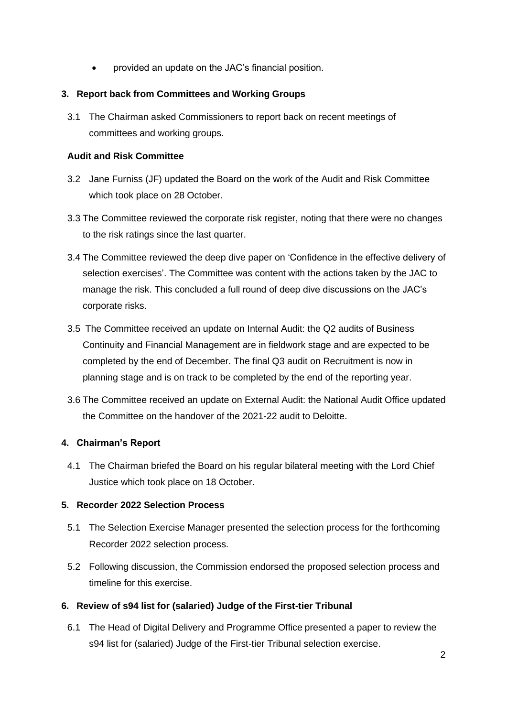• provided an update on the JAC's financial position.

### **3. Report back from Committees and Working Groups**

3.1 The Chairman asked Commissioners to report back on recent meetings of committees and working groups.

#### **Audit and Risk Committee**

- 3.2 Jane Furniss (JF) updated the Board on the work of the Audit and Risk Committee which took place on 28 October.
- 3.3 The Committee reviewed the corporate risk register, noting that there were no changes to the risk ratings since the last quarter.
- 3.4 The Committee reviewed the deep dive paper on 'Confidence in the effective delivery of selection exercises'. The Committee was content with the actions taken by the JAC to manage the risk. This concluded a full round of deep dive discussions on the JAC's corporate risks.
- 3.5 The Committee received an update on Internal Audit: the Q2 audits of Business Continuity and Financial Management are in fieldwork stage and are expected to be completed by the end of December. The final Q3 audit on Recruitment is now in planning stage and is on track to be completed by the end of the reporting year.
- 3.6 The Committee received an update on External Audit: the National Audit Office updated the Committee on the handover of the 2021-22 audit to Deloitte.

# **4. Chairman's Report**

4.1 The Chairman briefed the Board on his regular bilateral meeting with the Lord Chief Justice which took place on 18 October.

# **5. Recorder 2022 Selection Process**

- 5.1 The Selection Exercise Manager presented the selection process for the forthcoming Recorder 2022 selection process.
- 5.2 Following discussion, the Commission endorsed the proposed selection process and timeline for this exercise.

# **6. Review of s94 list for (salaried) Judge of the First-tier Tribunal**

6.1 The Head of Digital Delivery and Programme Office presented a paper to review the s94 list for (salaried) Judge of the First-tier Tribunal selection exercise.